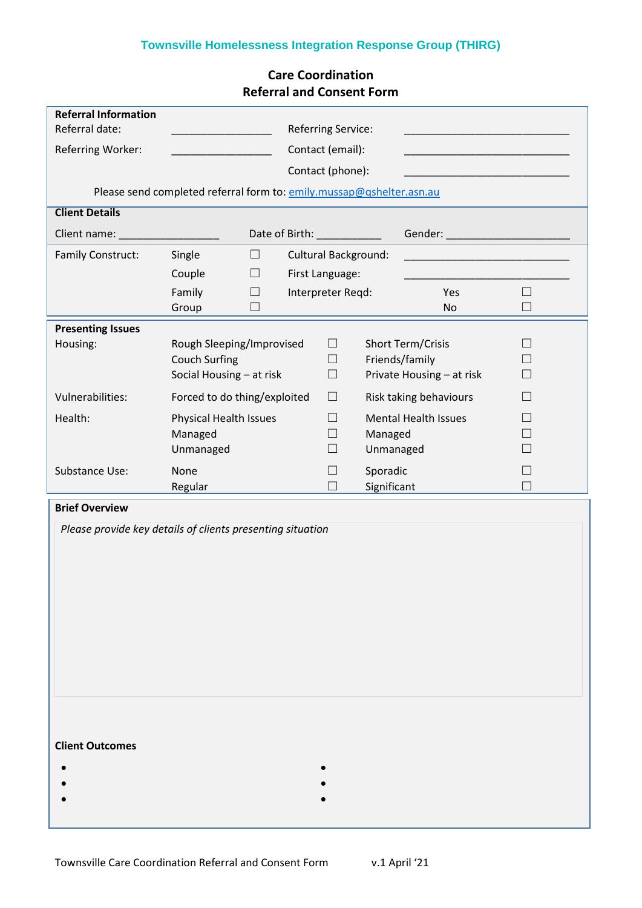# **Townsville Homelessness Integration Response Group (THIRG)**

|                                               |                                                                               |                                                              |                            | <b>Referral and Consent Form</b> |                                                                                                                |                  |
|-----------------------------------------------|-------------------------------------------------------------------------------|--------------------------------------------------------------|----------------------------|----------------------------------|----------------------------------------------------------------------------------------------------------------|------------------|
| <b>Referral Information</b><br>Referral date: | <b>Referring Service:</b>                                                     |                                                              |                            |                                  |                                                                                                                |                  |
| Referring Worker:                             |                                                                               | Contact (email):                                             |                            |                                  |                                                                                                                |                  |
|                                               |                                                                               | Contact (phone):                                             |                            |                                  |                                                                                                                |                  |
|                                               | Please send completed referral form to: emily.mussap@qshelter.asn.au          |                                                              |                            |                                  |                                                                                                                |                  |
| <b>Client Details</b>                         |                                                                               |                                                              |                            |                                  |                                                                                                                |                  |
| Client name:                                  | Date of Birth: ____________                                                   |                                                              |                            |                                  | Gender: All and the state of the state of the state of the state of the state of the state of the state of the |                  |
| Family Construct:                             | Single<br>$\Box$                                                              | Cultural Background:<br>First Language:<br>Interpreter Regd: |                            |                                  |                                                                                                                |                  |
|                                               | Couple<br>$\Box$                                                              |                                                              |                            |                                  |                                                                                                                |                  |
|                                               | Family<br>$\Box$<br>$\Box$                                                    |                                                              |                            |                                  | Yes<br>No                                                                                                      | $\Box$<br>$\Box$ |
|                                               | Group                                                                         |                                                              |                            |                                  |                                                                                                                |                  |
| <b>Presenting Issues</b><br>Housing:          | Rough Sleeping/Improvised<br><b>Couch Surfing</b><br>Social Housing - at risk |                                                              | $\Box$<br>$\Box$<br>$\Box$ |                                  | Short Term/Crisis<br>Friends/family<br>Private Housing - at risk                                               |                  |
| Vulnerabilities:                              | Forced to do thing/exploited                                                  |                                                              | $\Box$                     |                                  | Risk taking behaviours                                                                                         |                  |
| Health:                                       | Physical Health Issues<br>Managed<br>Unmanaged                                |                                                              | $\Box$<br>$\Box$<br>$\Box$ | Managed<br>Unmanaged             | <b>Mental Health Issues</b>                                                                                    |                  |
| Substance Use:                                | None<br>Regular                                                               |                                                              | $\Box$<br>$\Box$           | Sporadic<br>Significant          |                                                                                                                |                  |
| <b>Brief Overview</b>                         |                                                                               |                                                              |                            |                                  |                                                                                                                |                  |
|                                               | Please provide key details of clients presenting situation                    |                                                              |                            |                                  |                                                                                                                |                  |
| <b>Client Outcomes</b>                        |                                                                               |                                                              |                            |                                  |                                                                                                                |                  |

## **Care Coordination Referral and Consent Form**